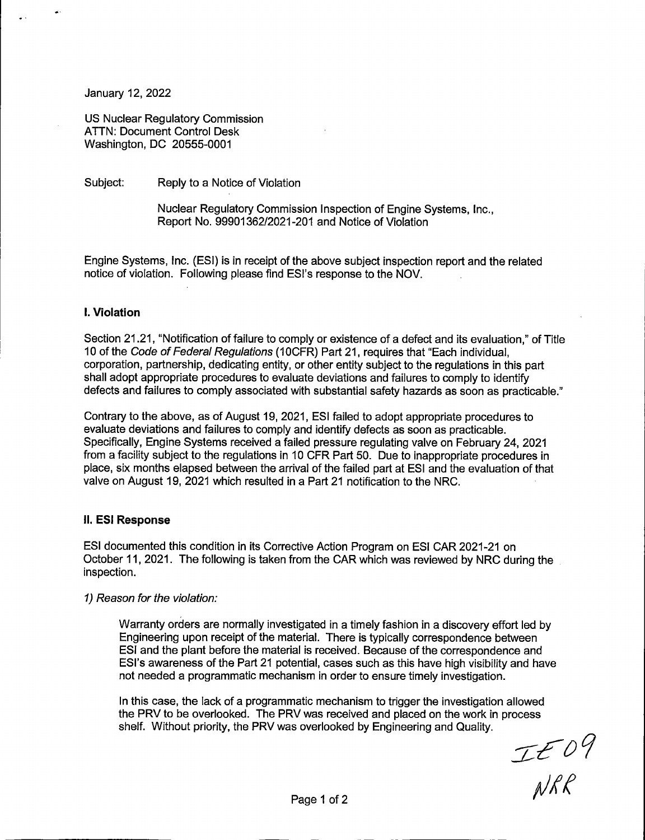#### January 12, 2022

US Nuclear Regulatory Commission ATTN: Document Control Desk Washington, DC 20555-0001

Subject: Reply to a Notice of Violation

Nuclear Regulatory Commission Inspection of Engine Systems, Inc., Report No. 99901362/2021-201 and Notice of Violation

Engine Systems, Inc. (ESI) is in receipt of the above subject inspection report and the related notice of violation. Following please find ESl's response to the NOV.

# **I. Violation**

Section 21.21, "Notification of failure to comply or existence of a defect and its evaluation," of Title 10 of the Code of Federal Regulations (10CFR) Part 21, requires that "Each individual, corporation, partnership, dedicating entity, or other entity subject to the regulations in this part shall adopt appropriate procedures to evaluate deviations and failures to comply to identify defects and failures to comply associated with substantial safety hazards as soon as practicable."

Contrary to the above, as of August 19, 2021, ESI failed to adopt appropriate procedures to evaluate deviations and failures to comply and identify defects as soon as practicable. Specifically, Engine Systems received a failed pressure regulating valve on February 24, 2021 from a facility subject to the regulations in 10 CFR Part 50. Due to inappropriate procedures in place, six months elapsed between the arrival of the failed part at ESI and the evaluation of that valve on August 19, 2021 which resulted in a Part 21 notification to the NRC.

# **11.ESIResponse**

ESI documented this condition in its Corrective Action Program on ESI CAR 2021-21 on October 11, 2021. The following is taken from the CAR which was reviewed by NRC during the inspection.

# 1) Reason for the violation:

Warranty orders are normally investigated in a timely fashion in a discovery effort led by Engineering upon receipt of the material. There is typically correspondence between ESI and the plant before the material is received. Because of the correspondence and ESI's awareness of the Part 21 potential, cases such as this have high visibility and have not needed a programmatic mechanism in order to ensure timely investigation.

In this case, the lack of a programmatic mechanism to trigger the investigation allowed the PRV to be overlooked. The PRV was received and placed on the work in process shelf. Without priority, the PRV was overlooked by Engineering and Quality.

IE 09<br>NRR